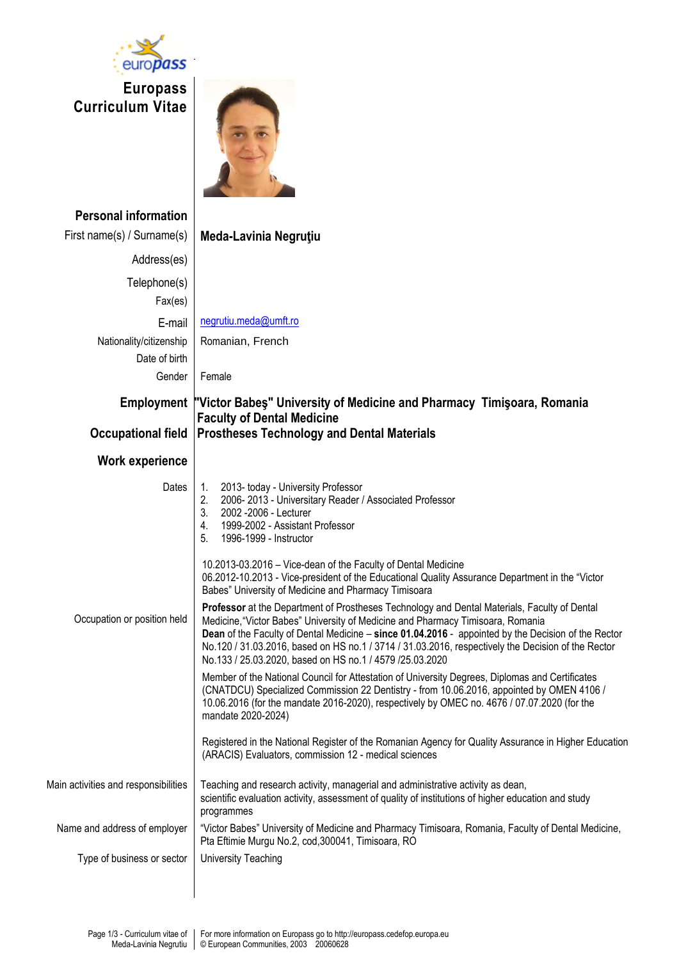

**Europass Curriculum Vitae**



| <b>Personal information</b><br>First name(s) / Surname(s) | Meda-Lavinia Negruțiu                                                                                                                                                                                                                                                                                                                                                                                                                                                                                                                                                                                                                                                                                                                                                                                                                                                                                                                                                                                                                                                                                                                                                                                                                                                                                                                                                                           |
|-----------------------------------------------------------|-------------------------------------------------------------------------------------------------------------------------------------------------------------------------------------------------------------------------------------------------------------------------------------------------------------------------------------------------------------------------------------------------------------------------------------------------------------------------------------------------------------------------------------------------------------------------------------------------------------------------------------------------------------------------------------------------------------------------------------------------------------------------------------------------------------------------------------------------------------------------------------------------------------------------------------------------------------------------------------------------------------------------------------------------------------------------------------------------------------------------------------------------------------------------------------------------------------------------------------------------------------------------------------------------------------------------------------------------------------------------------------------------|
| Address(es)                                               |                                                                                                                                                                                                                                                                                                                                                                                                                                                                                                                                                                                                                                                                                                                                                                                                                                                                                                                                                                                                                                                                                                                                                                                                                                                                                                                                                                                                 |
| Telephone(s)<br>Fax(es)                                   |                                                                                                                                                                                                                                                                                                                                                                                                                                                                                                                                                                                                                                                                                                                                                                                                                                                                                                                                                                                                                                                                                                                                                                                                                                                                                                                                                                                                 |
| E-mail                                                    | negrutiu.meda@umft.ro                                                                                                                                                                                                                                                                                                                                                                                                                                                                                                                                                                                                                                                                                                                                                                                                                                                                                                                                                                                                                                                                                                                                                                                                                                                                                                                                                                           |
| Nationality/citizenship                                   | Romanian, French                                                                                                                                                                                                                                                                                                                                                                                                                                                                                                                                                                                                                                                                                                                                                                                                                                                                                                                                                                                                                                                                                                                                                                                                                                                                                                                                                                                |
| Date of birth<br>Gender                                   | Female                                                                                                                                                                                                                                                                                                                                                                                                                                                                                                                                                                                                                                                                                                                                                                                                                                                                                                                                                                                                                                                                                                                                                                                                                                                                                                                                                                                          |
|                                                           | Employment  "Victor Babes" University of Medicine and Pharmacy Timisoara, Romania                                                                                                                                                                                                                                                                                                                                                                                                                                                                                                                                                                                                                                                                                                                                                                                                                                                                                                                                                                                                                                                                                                                                                                                                                                                                                                               |
|                                                           | <b>Faculty of Dental Medicine</b>                                                                                                                                                                                                                                                                                                                                                                                                                                                                                                                                                                                                                                                                                                                                                                                                                                                                                                                                                                                                                                                                                                                                                                                                                                                                                                                                                               |
| <b>Occupational field</b>                                 | <b>Prostheses Technology and Dental Materials</b>                                                                                                                                                                                                                                                                                                                                                                                                                                                                                                                                                                                                                                                                                                                                                                                                                                                                                                                                                                                                                                                                                                                                                                                                                                                                                                                                               |
| Work experience                                           |                                                                                                                                                                                                                                                                                                                                                                                                                                                                                                                                                                                                                                                                                                                                                                                                                                                                                                                                                                                                                                                                                                                                                                                                                                                                                                                                                                                                 |
| Dates<br>Occupation or position held                      | 2013- today - University Professor<br>1.<br>2006-2013 - Universitary Reader / Associated Professor<br>2.<br>3.<br>2002 - 2006 - Lecturer<br>1999-2002 - Assistant Professor<br>4.<br>5.<br>1996-1999 - Instructor<br>10.2013-03.2016 - Vice-dean of the Faculty of Dental Medicine<br>06.2012-10.2013 - Vice-president of the Educational Quality Assurance Department in the "Victor<br>Babes" University of Medicine and Pharmacy Timisoara<br>Professor at the Department of Prostheses Technology and Dental Materials, Faculty of Dental<br>Medicine, "Victor Babes" University of Medicine and Pharmacy Timisoara, Romania<br>Dean of the Faculty of Dental Medicine - since 01.04.2016 - appointed by the Decision of the Rector<br>No.120 / 31.03.2016, based on HS no.1 / 3714 / 31.03.2016, respectively the Decision of the Rector<br>No.133 / 25.03.2020, based on HS no.1 / 4579 /25.03.2020<br>Member of the National Council for Attestation of University Degrees, Diplomas and Certificates<br>(CNATDCU) Specialized Commission 22 Dentistry - from 10.06.2016, appointed by OMEN 4106 /<br>10.06.2016 (for the mandate 2016-2020), respectively by OMEC no. 4676 / 07.07.2020 (for the<br>mandate 2020-2024)<br>Registered in the National Register of the Romanian Agency for Quality Assurance in Higher Education<br>(ARACIS) Evaluators, commission 12 - medical sciences |
| Main activities and responsibilities                      | Teaching and research activity, managerial and administrative activity as dean,<br>scientific evaluation activity, assessment of quality of institutions of higher education and study<br>programmes                                                                                                                                                                                                                                                                                                                                                                                                                                                                                                                                                                                                                                                                                                                                                                                                                                                                                                                                                                                                                                                                                                                                                                                            |
| Name and address of employer                              | "Victor Babes" University of Medicine and Pharmacy Timisoara, Romania, Faculty of Dental Medicine,<br>Pta Eftimie Murgu No.2, cod, 300041, Timisoara, RO                                                                                                                                                                                                                                                                                                                                                                                                                                                                                                                                                                                                                                                                                                                                                                                                                                                                                                                                                                                                                                                                                                                                                                                                                                        |
| Type of business or sector                                | <b>University Teaching</b>                                                                                                                                                                                                                                                                                                                                                                                                                                                                                                                                                                                                                                                                                                                                                                                                                                                                                                                                                                                                                                                                                                                                                                                                                                                                                                                                                                      |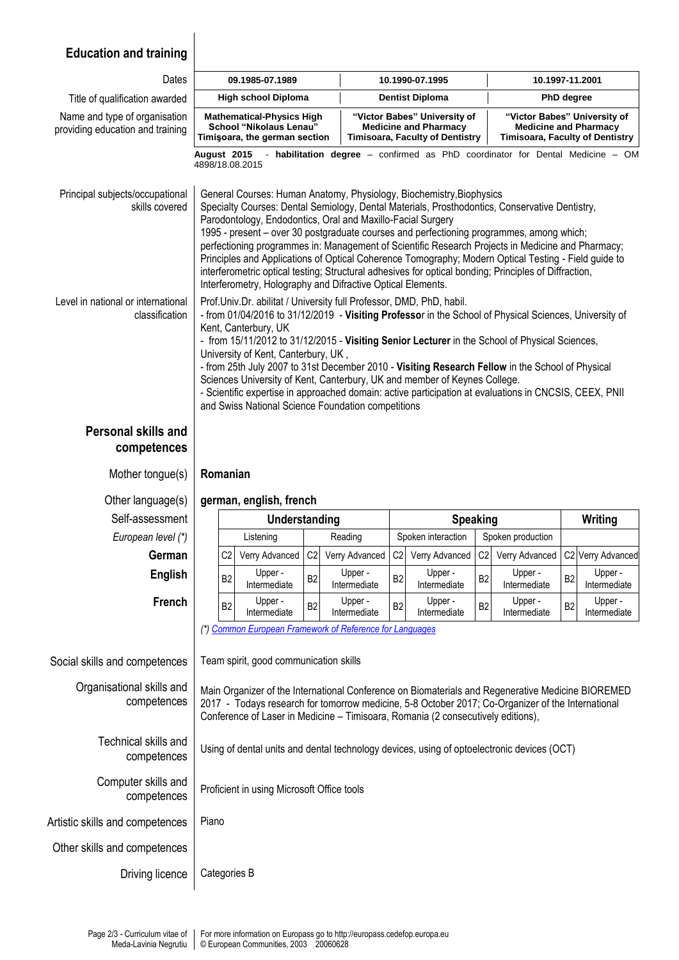## **Education and training**

| Dates                                                             | 09.1985-07.1989                                                                                                                                                                                                                                                                                                                                                                                                                                                                                                                                                                                                                                                                                                        |                                                                                                                                                                                                                                                                                            |                |                         | 10.1990-07.1995                                                                                        |                         |                |                                                                                                        | 10.1997-11.2001 |                         |  |  |
|-------------------------------------------------------------------|------------------------------------------------------------------------------------------------------------------------------------------------------------------------------------------------------------------------------------------------------------------------------------------------------------------------------------------------------------------------------------------------------------------------------------------------------------------------------------------------------------------------------------------------------------------------------------------------------------------------------------------------------------------------------------------------------------------------|--------------------------------------------------------------------------------------------------------------------------------------------------------------------------------------------------------------------------------------------------------------------------------------------|----------------|-------------------------|--------------------------------------------------------------------------------------------------------|-------------------------|----------------|--------------------------------------------------------------------------------------------------------|-----------------|-------------------------|--|--|
| Title of qualification awarded                                    | <b>High school Diploma</b>                                                                                                                                                                                                                                                                                                                                                                                                                                                                                                                                                                                                                                                                                             |                                                                                                                                                                                                                                                                                            |                |                         | <b>Dentist Diploma</b>                                                                                 |                         |                | PhD degree                                                                                             |                 |                         |  |  |
| Name and type of organisation<br>providing education and training |                                                                                                                                                                                                                                                                                                                                                                                                                                                                                                                                                                                                                                                                                                                        | <b>Mathematical-Physics High</b><br><b>School "Nikolaus Lenau"</b><br>Timişoara, the german section                                                                                                                                                                                        |                |                         | "Victor Babes" University of<br><b>Medicine and Pharmacy</b><br><b>Timisoara, Faculty of Dentistry</b> |                         |                | "Victor Babes" University of<br><b>Medicine and Pharmacy</b><br><b>Timisoara, Faculty of Dentistry</b> |                 |                         |  |  |
|                                                                   | - habilitation degree - confirmed as PhD coordinator for Dental Medicine - OM<br>August 2015<br>4898/18.08.2015                                                                                                                                                                                                                                                                                                                                                                                                                                                                                                                                                                                                        |                                                                                                                                                                                                                                                                                            |                |                         |                                                                                                        |                         |                |                                                                                                        |                 |                         |  |  |
| Principal subjects/occupational<br>skills covered                 | General Courses: Human Anatomy, Physiology, Biochemistry, Biophysics<br>Specialty Courses: Dental Semiology, Dental Materials, Prosthodontics, Conservative Dentistry,<br>Parodontology, Endodontics, Oral and Maxillo-Facial Surgery<br>1995 - present - over 30 postgraduate courses and perfectioning programmes, among which;<br>perfectioning programmes in: Management of Scientific Research Projects in Medicine and Pharmacy;<br>Principles and Applications of Optical Coherence Tomography; Modern Optical Testing - Field guide to<br>interferometric optical testing; Structural adhesives for optical bonding; Principles of Diffraction,<br>Interferometry, Holography and Difractive Optical Elements. |                                                                                                                                                                                                                                                                                            |                |                         |                                                                                                        |                         |                |                                                                                                        |                 |                         |  |  |
| Level in national or international<br>classification              | Prof.Univ.Dr. abilitat / University full Professor, DMD, PhD, habil.<br>- from 01/04/2016 to 31/12/2019 - Visiting Professor in the School of Physical Sciences, University of<br>Kent, Canterbury, UK<br>- from 15/11/2012 to 31/12/2015 - Visiting Senior Lecturer in the School of Physical Sciences,<br>University of Kent, Canterbury, UK,<br>- from 25th July 2007 to 31st December 2010 - Visiting Research Fellow in the School of Physical<br>Sciences University of Kent, Canterbury, UK and member of Keynes College.<br>- Scientific expertise in approached domain: active participation at evaluations in CNCSIS, CEEX, PNII<br>and Swiss National Science Foundation competitions                       |                                                                                                                                                                                                                                                                                            |                |                         |                                                                                                        |                         |                |                                                                                                        |                 |                         |  |  |
| <b>Personal skills and</b><br>competences                         |                                                                                                                                                                                                                                                                                                                                                                                                                                                                                                                                                                                                                                                                                                                        |                                                                                                                                                                                                                                                                                            |                |                         |                                                                                                        |                         |                |                                                                                                        |                 |                         |  |  |
|                                                                   | Romanian                                                                                                                                                                                                                                                                                                                                                                                                                                                                                                                                                                                                                                                                                                               |                                                                                                                                                                                                                                                                                            |                |                         |                                                                                                        |                         |                |                                                                                                        |                 |                         |  |  |
| Mother tongue(s)                                                  |                                                                                                                                                                                                                                                                                                                                                                                                                                                                                                                                                                                                                                                                                                                        |                                                                                                                                                                                                                                                                                            |                |                         |                                                                                                        |                         |                |                                                                                                        |                 |                         |  |  |
| Other language(s)                                                 |                                                                                                                                                                                                                                                                                                                                                                                                                                                                                                                                                                                                                                                                                                                        | german, english, french                                                                                                                                                                                                                                                                    |                |                         |                                                                                                        |                         |                |                                                                                                        |                 |                         |  |  |
| Self-assessment                                                   |                                                                                                                                                                                                                                                                                                                                                                                                                                                                                                                                                                                                                                                                                                                        | Understanding                                                                                                                                                                                                                                                                              |                |                         |                                                                                                        | <b>Speaking</b>         |                |                                                                                                        |                 | Writing                 |  |  |
| European level (*)                                                |                                                                                                                                                                                                                                                                                                                                                                                                                                                                                                                                                                                                                                                                                                                        | Listening                                                                                                                                                                                                                                                                                  |                | Reading                 |                                                                                                        | Spoken interaction      |                | Spoken production                                                                                      |                 |                         |  |  |
| German                                                            | C <sub>2</sub>                                                                                                                                                                                                                                                                                                                                                                                                                                                                                                                                                                                                                                                                                                         | Verry Advanced                                                                                                                                                                                                                                                                             | C <sub>2</sub> | Verry Advanced          | C2                                                                                                     | Verry Advanced          | C2             | Verry Advanced                                                                                         |                 | C2 Verry Advanced       |  |  |
| <b>English</b>                                                    | B <sub>2</sub>                                                                                                                                                                                                                                                                                                                                                                                                                                                                                                                                                                                                                                                                                                         | Upper -<br>Intermediate                                                                                                                                                                                                                                                                    | B <sub>2</sub> | Upper -<br>Intermediate | B <sub>2</sub>                                                                                         | Upper -<br>Intermediate | B <sub>2</sub> | Upper -<br>Intermediate                                                                                | B <sub>2</sub>  | Upper -<br>Intermediate |  |  |
| French                                                            | B <sub>2</sub>                                                                                                                                                                                                                                                                                                                                                                                                                                                                                                                                                                                                                                                                                                         | Upper -<br>Intermediate                                                                                                                                                                                                                                                                    | B <sub>2</sub> | Upper -<br>Intermediate | B <sub>2</sub>                                                                                         | Upper -<br>Intermediate | B <sub>2</sub> | Upper -<br>Intermediate                                                                                | B <sub>2</sub>  | Upper -<br>Intermediate |  |  |
|                                                                   |                                                                                                                                                                                                                                                                                                                                                                                                                                                                                                                                                                                                                                                                                                                        | (*) Common European Framework of Reference for Languages                                                                                                                                                                                                                                   |                |                         |                                                                                                        |                         |                |                                                                                                        |                 |                         |  |  |
| Social skills and competences                                     |                                                                                                                                                                                                                                                                                                                                                                                                                                                                                                                                                                                                                                                                                                                        | Team spirit, good communication skills                                                                                                                                                                                                                                                     |                |                         |                                                                                                        |                         |                |                                                                                                        |                 |                         |  |  |
| Organisational skills and<br>competences                          |                                                                                                                                                                                                                                                                                                                                                                                                                                                                                                                                                                                                                                                                                                                        | Main Organizer of the International Conference on Biomaterials and Regenerative Medicine BIOREMED<br>2017 - Todays research for tomorrow medicine, 5-8 October 2017; Co-Organizer of the International<br>Conference of Laser in Medicine - Timisoara, Romania (2 consecutively editions), |                |                         |                                                                                                        |                         |                |                                                                                                        |                 |                         |  |  |
| Technical skills and<br>competences                               |                                                                                                                                                                                                                                                                                                                                                                                                                                                                                                                                                                                                                                                                                                                        | Using of dental units and dental technology devices, using of optoelectronic devices (OCT)                                                                                                                                                                                                 |                |                         |                                                                                                        |                         |                |                                                                                                        |                 |                         |  |  |
| Computer skills and<br>competences                                |                                                                                                                                                                                                                                                                                                                                                                                                                                                                                                                                                                                                                                                                                                                        | Proficient in using Microsoft Office tools                                                                                                                                                                                                                                                 |                |                         |                                                                                                        |                         |                |                                                                                                        |                 |                         |  |  |
| Artistic skills and competences                                   | Piano                                                                                                                                                                                                                                                                                                                                                                                                                                                                                                                                                                                                                                                                                                                  |                                                                                                                                                                                                                                                                                            |                |                         |                                                                                                        |                         |                |                                                                                                        |                 |                         |  |  |
| Other skills and competences                                      |                                                                                                                                                                                                                                                                                                                                                                                                                                                                                                                                                                                                                                                                                                                        |                                                                                                                                                                                                                                                                                            |                |                         |                                                                                                        |                         |                |                                                                                                        |                 |                         |  |  |